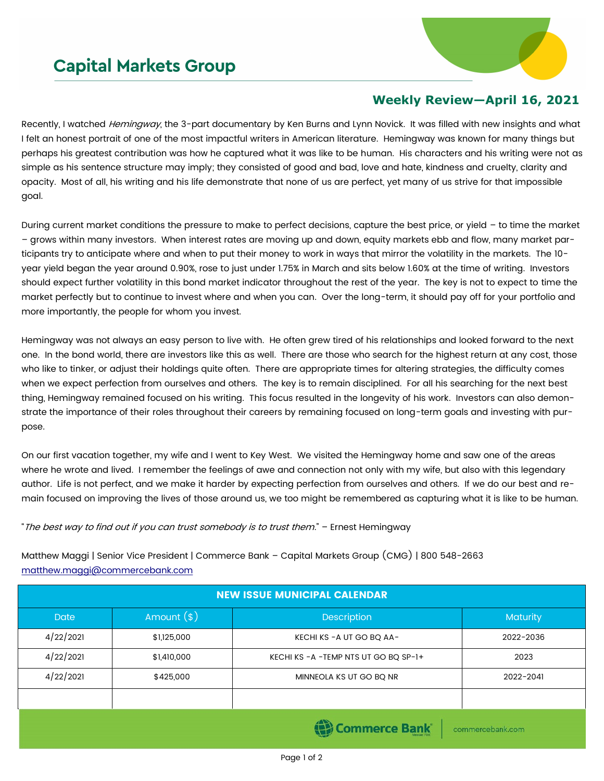## **Capital Markets Group**



## **Weekly Review—April 16, 2021**

Recently, I watched *Hemingway*, the 3-part documentary by Ken Burns and Lynn Novick. It was filled with new insights and what I felt an honest portrait of one of the most impactful writers in American literature. Hemingway was known for many things but perhaps his greatest contribution was how he captured what it was like to be human. His characters and his writing were not as simple as his sentence structure may imply; they consisted of good and bad, love and hate, kindness and cruelty, clarity and opacity. Most of all, his writing and his life demonstrate that none of us are perfect, yet many of us strive for that impossible goal.

During current market conditions the pressure to make to perfect decisions, capture the best price, or yield – to time the market – grows within many investors. When interest rates are moving up and down, equity markets ebb and flow, many market participants try to anticipate where and when to put their money to work in ways that mirror the volatility in the markets. The 10 year yield began the year around 0.90%, rose to just under 1.75% in March and sits below 1.60% at the time of writing. Investors should expect further volatility in this bond market indicator throughout the rest of the year. The key is not to expect to time the market perfectly but to continue to invest where and when you can. Over the long-term, it should pay off for your portfolio and more importantly, the people for whom you invest.

Hemingway was not always an easy person to live with. He often grew tired of his relationships and looked forward to the next one. In the bond world, there are investors like this as well. There are those who search for the highest return at any cost, those who like to tinker, or adjust their holdings quite often. There are appropriate times for altering strategies, the difficulty comes when we expect perfection from ourselves and others. The key is to remain disciplined. For all his searching for the next best thing, Hemingway remained focused on his writing. This focus resulted in the longevity of his work. Investors can also demonstrate the importance of their roles throughout their careers by remaining focused on long-term goals and investing with purpose.

On our first vacation together, my wife and I went to Key West. We visited the Hemingway home and saw one of the areas where he wrote and lived. I remember the feelings of awe and connection not only with my wife, but also with this legendary author. Life is not perfect, and we make it harder by expecting perfection from ourselves and others. If we do our best and remain focused on improving the lives of those around us, we too might be remembered as capturing what it is like to be human.

"The best way to find out if you can trust somebody is to trust them." – Ernest Hemingway

Matthew Maggi | Senior Vice President | Commerce Bank – Capital Markets Group (CMG) | 800 548-2663 [matthew.maggi@commercebank.com](mailto:matthew.maggi@commercebank.com)

| <b>NEW ISSUE MUNICIPAL CALENDAR</b>        |              |                                    |                 |  |  |
|--------------------------------------------|--------------|------------------------------------|-----------------|--|--|
| <b>Date</b>                                | Amount $(s)$ | <b>Description</b>                 | <b>Maturity</b> |  |  |
| 4/22/2021                                  | \$1,125,000  | KECHI KS - A UT GO BQ AA-          | 2022-2036       |  |  |
| 4/22/2021                                  | \$1,410,000  | KECHI KS-A-TEMP NTS UT GO BQ SP-1+ | 2023            |  |  |
| 4/22/2021                                  | \$425,000    | MINNEOLA KS UT GO BQ NR            | 2022-2041       |  |  |
|                                            |              |                                    |                 |  |  |
| <b>El Commerce Rank</b><br>commonshank com |              |                                    |                 |  |  |